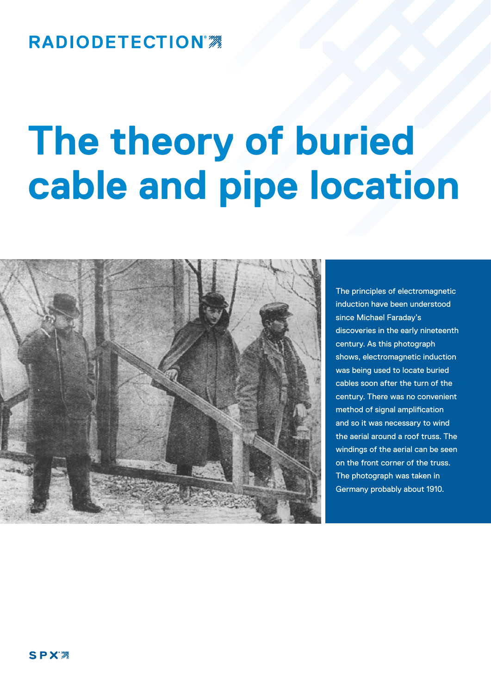## **RADIODETECTION®**

# **The theory of buried cable and pipe location**



The principles of electromagnetic induction have been understood since Michael Faraday's discoveries in the early nineteenth century. As this photograph shows, electromagnetic induction was being used to locate buried cables soon after the turn of the century. There was no convenient method of signal amplification and so it was necessary to wind the aerial around a roof truss. The windings of the aerial can be seen on the front corner of the truss. The photograph was taken in Germany probably about 1910.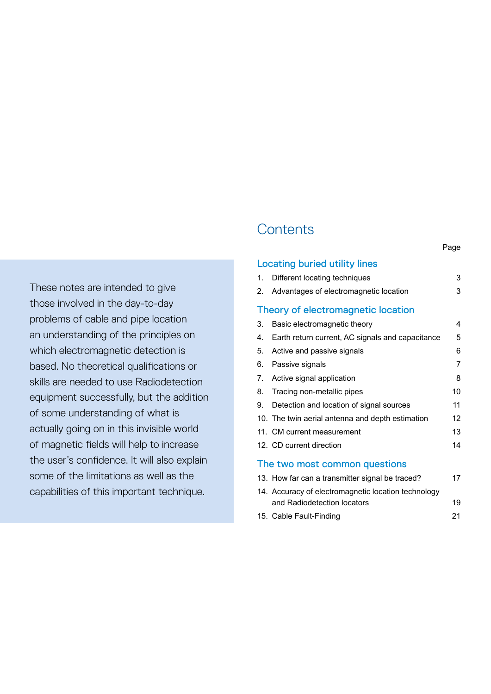These notes are intended to give those involved in the day-to-day problems of cable and pipe location an understanding of the principles on which electromagnetic detection is based. No theoretical qualifications or skills are needed to use Radiodetection equipment successfully, but the addition of some understanding of what is actually going on in this invisible world of magnetic fields will help to increase the user's confidence. It will also explain some of the limitations as well as the capabilities of this important technique.

## **Contents**

|                                    | <b>Locating buried utility lines</b>             |    |  |
|------------------------------------|--------------------------------------------------|----|--|
| 1.                                 | Different locating techniques                    | 3  |  |
|                                    | 2. Advantages of electromagnetic location        | 3  |  |
| Theory of electromagnetic location |                                                  |    |  |
| 3.                                 | Basic electromagnetic theory                     | 4  |  |
| 4.                                 | Earth return current, AC signals and capacitance | 5  |  |
| 5.                                 | Active and passive signals                       | 6  |  |
| 6.                                 | Passive signals                                  | 7  |  |
| 7.                                 | Active signal application                        | 8  |  |
| 8.                                 | Tracing non-metallic pipes                       | 10 |  |
|                                    | 9. Detection and location of signal sources      | 11 |  |
|                                    | 10. The twin aerial antenna and depth estimation | 12 |  |
|                                    | 11. CM current measurement                       | 13 |  |
|                                    | 12. CD current direction                         | 14 |  |
| The two most common questions      |                                                  |    |  |
|                                    | 13. How far can a transmitter signal be traced?  | 17 |  |

| is. How far can a transmitter signal be traced?     |    |
|-----------------------------------------------------|----|
| 14. Accuracy of electromagnetic location technology |    |
| and Radiodetection locators                         | 19 |
| 15. Cable Fault-Finding                             | 21 |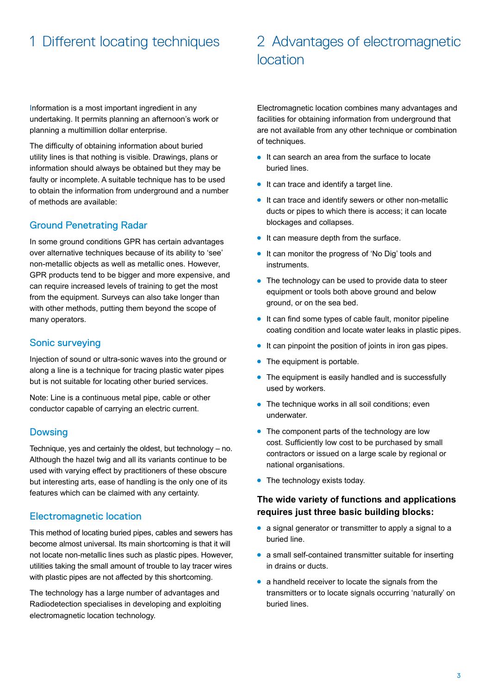## 1 Different locating techniques 2 Advantages of electromagnetic location

Information is a most important ingredient in any undertaking. It permits planning an afternoon's work or planning a multimillion dollar enterprise.

The difficulty of obtaining information about buried utility lines is that nothing is visible. Drawings, plans or information should always be obtained but they may be faulty or incomplete. A suitable technique has to be used to obtain the information from underground and a number of methods are available:

#### Ground Penetrating Radar

In some ground conditions GPR has certain advantages over alternative techniques because of its ability to 'see' non-metallic objects as well as metallic ones. However, GPR products tend to be bigger and more expensive, and can require increased levels of training to get the most from the equipment. Surveys can also take longer than with other methods, putting them beyond the scope of many operators.

#### Sonic surveying

Injection of sound or ultra-sonic waves into the ground or along a line is a technique for tracing plastic water pipes but is not suitable for locating other buried services.

Note: Line is a continuous metal pipe, cable or other conductor capable of carrying an electric current.

#### Dowsing

Technique, yes and certainly the oldest, but technology – no. Although the hazel twig and all its variants continue to be used with varying effect by practitioners of these obscure but interesting arts, ease of handling is the only one of its features which can be claimed with any certainty.

#### Electromagnetic location

This method of locating buried pipes, cables and sewers has become almost universal. Its main shortcoming is that it will not locate non-metallic lines such as plastic pipes. However, utilities taking the small amount of trouble to lay tracer wires with plastic pipes are not affected by this shortcoming.

The technology has a large number of advantages and Radiodetection specialises in developing and exploiting electromagnetic location technology.

Electromagnetic location combines many advantages and facilities for obtaining information from underground that are not available from any other technique or combination of techniques.

- $\bullet$  It can search an area from the surface to locate buried lines.
- $\bullet$  It can trace and identify a target line.
- $\bullet$  It can trace and identify sewers or other non-metallic ducts or pipes to which there is access; it can locate blockages and collapses.
- $\bullet$  It can measure depth from the surface.
- It can monitor the progress of 'No Dig' tools and instruments.
- The technology can be used to provide data to steer equipment or tools both above ground and below ground, or on the sea bed.
- $\bullet$  It can find some types of cable fault, monitor pipeline coating condition and locate water leaks in plastic pipes.
- $\bullet$  It can pinpoint the position of joints in iron gas pipes.
- $\bullet$  The equipment is portable.
- $\bullet$  The equipment is easily handled and is successfully used by workers.
- $\bullet$  The technique works in all soil conditions; even underwater.
- $\bullet$  The component parts of the technology are low cost. Sufficiently low cost to be purchased by small contractors or issued on a large scale by regional or national organisations.
- $\bullet$  The technology exists today.

#### **The wide variety of functions and applications requires just three basic building blocks:**

- a signal generator or transmitter to apply a signal to a buried line.
- $\bullet$  a small self-contained transmitter suitable for inserting in drains or ducts.
- $\bullet$  a handheld receiver to locate the signals from the transmitters or to locate signals occurring 'naturally' on buried lines.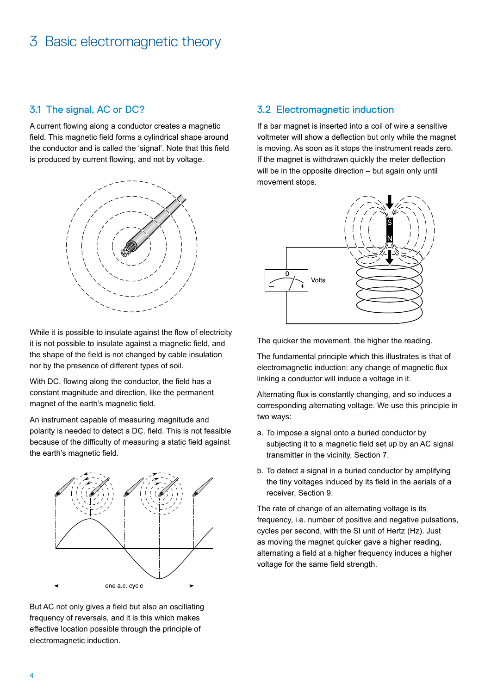#### 3.1 The signal, AC or DC?

A current flowing along a conductor creates a magnetic field. This magnetic field forms a cylindrical shape around the conductor and is called the 'signal'. Note that this field is produced by current flowing, and not by voltage.



While it is possible to insulate against the flow of electricity it is not possible to insulate against a magnetic field, and the shape of the field is not changed by cable insulation nor by the presence of different types of soil.

With DC. flowing along the conductor, the field has a constant magnitude and direction, like the permanent magnet of the earth's magnetic field.

An instrument capable of measuring magnitude and polarity is needed to detect a DC. field. This is not feasible because of the difficulty of measuring a static field against the earth's magnetic field.



But AC not only gives a field but also an oscillating frequency of reversals, and it is this which makes effective location possible through the principle of electromagnetic induction.

#### 3.2 Electromagnetic induction

If a bar magnet is inserted into a coil of wire a sensitive voltmeter will show a deflection but only while the magnet is moving. As soon as it stops the instrument reads zero. If the magnet is withdrawn quickly the meter deflection will be in the opposite direction – but again only until movement stops.



The quicker the movement, the higher the reading.

The fundamental principle which this illustrates is that of electromagnetic induction: any change of magnetic flux linking a conductor will induce a voltage in it.

Alternating flux is constantly changing, and so induces a corresponding alternating voltage. We use this principle in two ways:

- a. To impose a signal onto a buried conductor by subjecting it to a magnetic field set up by an AC signal transmitter in the vicinity, Section 7.
- b. To detect a signal in a buried conductor by amplifying the tiny voltages induced by its field in the aerials of a receiver, Section 9.

The rate of change of an alternating voltage is its frequency, i.e. number of positive and negative pulsations, cycles per second, with the SI unit of Hertz (Hz). Just as moving the magnet quicker gave a higher reading, alternating a field at a higher frequency induces a higher voltage for the same field strength.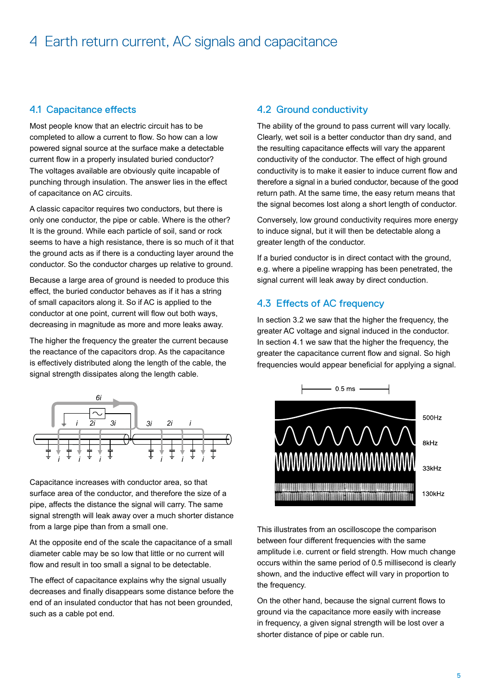#### 4.1 Capacitance effects

Most people know that an electric circuit has to be completed to allow a current to flow. So how can a low powered signal source at the surface make a detectable current flow in a properly insulated buried conductor? The voltages available are obviously quite incapable of punching through insulation. The answer lies in the effect of capacitance on AC circuits.

A classic capacitor requires two conductors, but there is only one conductor, the pipe or cable. Where is the other? It is the ground. While each particle of soil, sand or rock seems to have a high resistance, there is so much of it that the ground acts as if there is a conducting layer around the conductor. So the conductor charges up relative to ground.

Because a large area of ground is needed to produce this effect, the buried conductor behaves as if it has a string of small capacitors along it. So if AC is applied to the conductor at one point, current will flow out both ways, decreasing in magnitude as more and more leaks away.

The higher the frequency the greater the current because the reactance of the capacitors drop. As the capacitance is effectively distributed along the length of the cable, the signal strength dissipates along the length cable.



Capacitance increases with conductor area, so that surface area of the conductor, and therefore the size of a pipe, affects the distance the signal will carry. The same signal strength will leak away over a much shorter distance from a large pipe than from a small one.

At the opposite end of the scale the capacitance of a small diameter cable may be so low that little or no current will flow and result in too small a signal to be detectable.

The effect of capacitance explains why the signal usually decreases and finally disappears some distance before the end of an insulated conductor that has not been grounded, such as a cable pot end.

#### 4.2 Ground conductivity

The ability of the ground to pass current will vary locally. Clearly, wet soil is a better conductor than dry sand, and the resulting capacitance effects will vary the apparent conductivity of the conductor. The effect of high ground conductivity is to make it easier to induce current flow and therefore a signal in a buried conductor, because of the good return path. At the same time, the easy return means that the signal becomes lost along a short length of conductor.

Conversely, low ground conductivity requires more energy to induce signal, but it will then be detectable along a greater length of the conductor.

If a buried conductor is in direct contact with the ground, e.g. where a pipeline wrapping has been penetrated, the signal current will leak away by direct conduction.

#### 4.3 Effects of AC frequency

In section 3.2 we saw that the higher the frequency, the greater AC voltage and signal induced in the conductor. In section 4.1 we saw that the higher the frequency, the greater the capacitance current flow and signal. So high frequencies would appear beneficial for applying a signal.



This illustrates from an oscilloscope the comparison between four different frequencies with the same amplitude i.e. current or field strength. How much change occurs within the same period of 0.5 millisecond is clearly shown, and the inductive effect will vary in proportion to the frequency.

On the other hand, because the signal current flows to ground via the capacitance more easily with increase in frequency, a given signal strength will be lost over a shorter distance of pipe or cable run.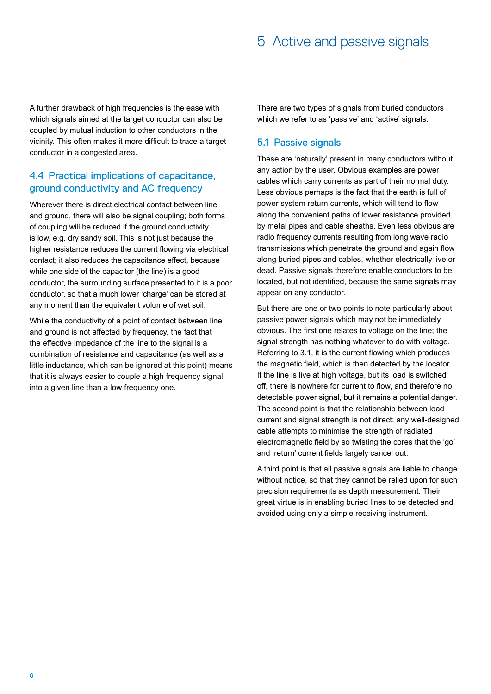A further drawback of high frequencies is the ease with which signals aimed at the target conductor can also be coupled by mutual induction to other conductors in the vicinity. This often makes it more difficult to trace a target conductor in a congested area.

#### 4.4 Practical implications of capacitance, ground conductivity and AC frequency

Wherever there is direct electrical contact between line and ground, there will also be signal coupling; both forms of coupling will be reduced if the ground conductivity is low, e.g. dry sandy soil. This is not just because the higher resistance reduces the current flowing via electrical contact; it also reduces the capacitance effect, because while one side of the capacitor (the line) is a good conductor, the surrounding surface presented to it is a poor conductor, so that a much lower 'charge' can be stored at any moment than the equivalent volume of wet soil.

While the conductivity of a point of contact between line and ground is not affected by frequency, the fact that the effective impedance of the line to the signal is a combination of resistance and capacitance (as well as a little inductance, which can be ignored at this point) means that it is always easier to couple a high frequency signal into a given line than a low frequency one.

There are two types of signals from buried conductors which we refer to as 'passive' and 'active' signals.

#### 5.1 Passive signals

These are 'naturally' present in many conductors without any action by the user. Obvious examples are power cables which carry currents as part of their normal duty. Less obvious perhaps is the fact that the earth is full of power system return currents, which will tend to flow along the convenient paths of lower resistance provided by metal pipes and cable sheaths. Even less obvious are radio frequency currents resulting from long wave radio transmissions which penetrate the ground and again flow along buried pipes and cables, whether electrically live or dead. Passive signals therefore enable conductors to be located, but not identified, because the same signals may appear on any conductor.

But there are one or two points to note particularly about passive power signals which may not be immediately obvious. The first one relates to voltage on the line; the signal strength has nothing whatever to do with voltage. Referring to 3.1, it is the current flowing which produces the magnetic field, which is then detected by the locator. If the line is live at high voltage, but its load is switched off, there is nowhere for current to flow, and therefore no detectable power signal, but it remains a potential danger. The second point is that the relationship between load current and signal strength is not direct: any well-designed cable attempts to minimise the strength of radiated electromagnetic field by so twisting the cores that the 'go' and 'return' current fields largely cancel out.

A third point is that all passive signals are liable to change without notice, so that they cannot be relied upon for such precision requirements as depth measurement. Their great virtue is in enabling buried lines to be detected and avoided using only a simple receiving instrument.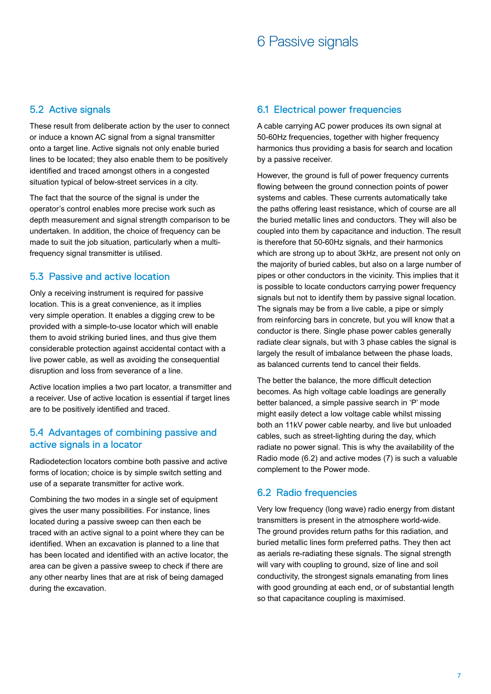## 6 Passive signals

#### 5.2 Active signals

These result from deliberate action by the user to connect or induce a known AC signal from a signal transmitter onto a target line. Active signals not only enable buried lines to be located; they also enable them to be positively identified and traced amongst others in a congested situation typical of below-street services in a city.

The fact that the source of the signal is under the operator's control enables more precise work such as depth measurement and signal strength comparison to be undertaken. In addition, the choice of frequency can be made to suit the job situation, particularly when a multifrequency signal transmitter is utilised.

#### 5.3 Passive and active location

Only a receiving instrument is required for passive location. This is a great convenience, as it implies very simple operation. It enables a digging crew to be provided with a simple-to-use locator which will enable them to avoid striking buried lines, and thus give them considerable protection against accidental contact with a live power cable, as well as avoiding the consequential disruption and loss from severance of a line.

Active location implies a two part locator, a transmitter and a receiver. Use of active location is essential if target lines are to be positively identified and traced.

#### 5.4 Advantages of combining passive and active signals in a locator

Radiodetection locators combine both passive and active forms of location; choice is by simple switch setting and use of a separate transmitter for active work.

Combining the two modes in a single set of equipment gives the user many possibilities. For instance, lines located during a passive sweep can then each be traced with an active signal to a point where they can be identified. When an excavation is planned to a line that has been located and identified with an active locator, the area can be given a passive sweep to check if there are any other nearby lines that are at risk of being damaged during the excavation.

#### 6.1 Electrical power frequencies

A cable carrying AC power produces its own signal at 50-60Hz frequencies, together with higher frequency harmonics thus providing a basis for search and location by a passive receiver.

However, the ground is full of power frequency currents flowing between the ground connection points of power systems and cables. These currents automatically take the paths offering least resistance, which of course are all the buried metallic lines and conductors. They will also be coupled into them by capacitance and induction. The result is therefore that 50-60Hz signals, and their harmonics which are strong up to about 3kHz, are present not only on the majority of buried cables, but also on a large number of pipes or other conductors in the vicinity. This implies that it is possible to locate conductors carrying power frequency signals but not to identify them by passive signal location. The signals may be from a live cable, a pipe or simply from reinforcing bars in concrete, but you will know that a conductor is there. Single phase power cables generally radiate clear signals, but with 3 phase cables the signal is largely the result of imbalance between the phase loads, as balanced currents tend to cancel their fields.

The better the balance, the more difficult detection becomes. As high voltage cable loadings are generally better balanced, a simple passive search in 'P' mode might easily detect a low voltage cable whilst missing both an 11kV power cable nearby, and live but unloaded cables, such as street-lighting during the day, which radiate no power signal. This is why the availability of the Radio mode (6.2) and active modes (7) is such a valuable complement to the Power mode.

#### 6.2 Radio frequencies

Very low frequency (long wave) radio energy from distant transmitters is present in the atmosphere world-wide. The ground provides return paths for this radiation, and buried metallic lines form preferred paths. They then act as aerials re-radiating these signals. The signal strength will vary with coupling to ground, size of line and soil conductivity, the strongest signals emanating from lines with good grounding at each end, or of substantial length so that capacitance coupling is maximised.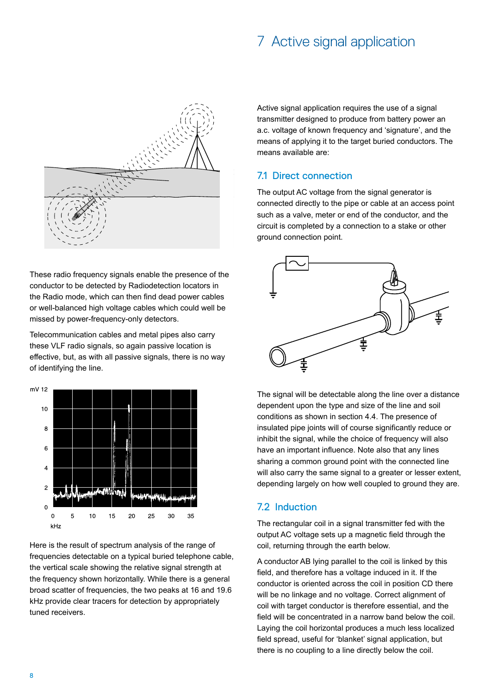## 7 Active signal application



These radio frequency signals enable the presence of the conductor to be detected by Radiodetection locators in the Radio mode, which can then find dead power cables or well-balanced high voltage cables which could well be missed by power-frequency-only detectors.

Telecommunication cables and metal pipes also carry these VLF radio signals, so again passive location is effective, but, as with all passive signals, there is no way of identifying the line.



Here is the result of spectrum analysis of the range of frequencies detectable on a typical buried telephone cable, the vertical scale showing the relative signal strength at the frequency shown horizontally. While there is a general broad scatter of frequencies, the two peaks at 16 and 19.6 kHz provide clear tracers for detection by appropriately tuned receivers.

Active signal application requires the use of a signal transmitter designed to produce from battery power an a.c. voltage of known frequency and 'signature', and the means of applying it to the target buried conductors. The means available are:

#### 7.1 Direct connection

The output AC voltage from the signal generator is connected directly to the pipe or cable at an access point such as a valve, meter or end of the conductor, and the circuit is completed by a connection to a stake or other ground connection point.



The signal will be detectable along the line over a distance dependent upon the type and size of the line and soil conditions as shown in section 4.4. The presence of insulated pipe joints will of course significantly reduce or inhibit the signal, while the choice of frequency will also have an important influence. Note also that any lines sharing a common ground point with the connected line will also carry the same signal to a greater or lesser extent, depending largely on how well coupled to ground they are.

#### 7.2 Induction

The rectangular coil in a signal transmitter fed with the output AC voltage sets up a magnetic field through the coil, returning through the earth below.

A conductor AB lying parallel to the coil is linked by this field, and therefore has a voltage induced in it. If the conductor is oriented across the coil in position CD there will be no linkage and no voltage. Correct alignment of coil with target conductor is therefore essential, and the field will be concentrated in a narrow band below the coil. Laying the coil horizontal produces a much less localized field spread, useful for 'blanket' signal application, but there is no coupling to a line directly below the coil.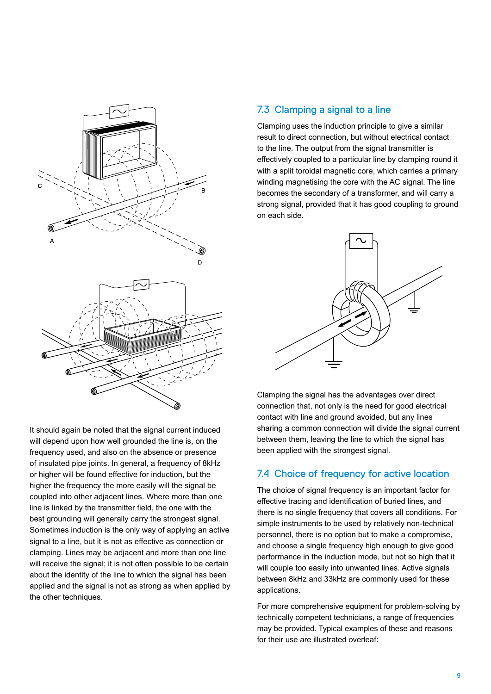

It should again be noted that the signal current induced will depend upon how well grounded the line is, on the frequency used, and also on the absence or presence of insulated pipe joints. In general, a frequency of 8kHz or higher will be found effective for induction, but the higher the frequency the more easily will the signal be coupled into other adjacent lines. Where more than one line is linked by the transmitter field, the one with the best grounding will generally carry the strongest signal. Sometimes induction is the only way of applying an active signal to a line, but it is not as effective as connection or clamping. Lines may be adjacent and more than one line will receive the signal; it is not often possible to be certain about the identity of the line to which the signal has been applied and the signal is not as strong as when applied by the other techniques.

#### 7.3 Clamping a signal to a line

Clamping uses the induction principle to give a similar result to direct connection, but without electrical contact to the line. The output from the signal transmitter is effectively coupled to a particular line by clamping round it with a split toroidal magnetic core, which carries a primary winding magnetising the core with the AC signal. The line becomes the secondary of a transformer, and will carry a strong signal, provided that it has good coupling to ground on each side.



Clamping the signal has the advantages over direct connection that, not only is the need for good electrical contact with line and ground avoided, but any lines sharing a common connection will divide the signal current between them, leaving the line to which the signal has been applied with the strongest signal.

#### 7.4 Choice of frequency for active location

The choice of signal frequency is an important factor for effective tracing and identification of buried lines, and there is no single frequency that covers all conditions. For simple instruments to be used by relatively non-technical personnel, there is no option but to make a compromise, and choose a single frequency high enough to give good performance in the induction mode, but not so high that it will couple too easily into unwanted lines. Active signals between 8kHz and 33kHz are commonly used for these applications.

For more comprehensive equipment for problem-solving by technically competent technicians, a range of frequencies may be provided. Typical examples of these and reasons for their use are illustrated overleaf: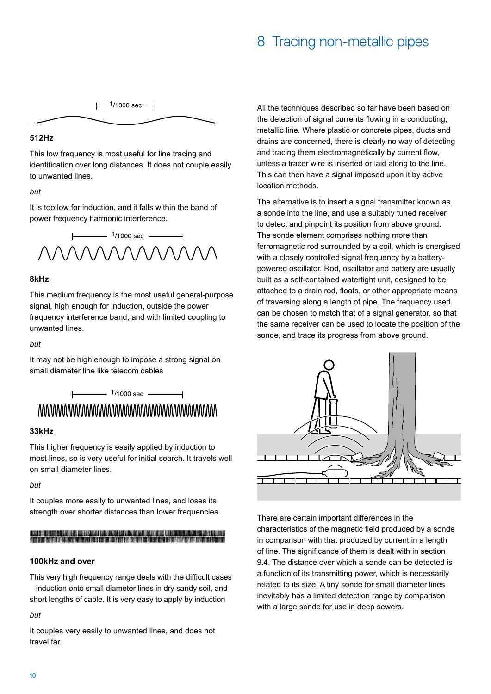## 8 Tracing non-metallic pipes

 $\mu$ <sup>1</sup>/1000 sec  $\rightarrow$ 

#### **512Hz**

This low frequency is most useful for line tracing and identification over long distances. It does not couple easily to unwanted lines.

#### *but*

It is too low for induction, and it falls within the band of power frequency harmonic interference.



#### **8kHz**

This medium frequency is the most useful general-purpose signal, high enough for induction, outside the power frequency interference band, and with limited coupling to unwanted lines.

#### *but*

It may not be high enough to impose a strong signal on small diameter line like telecom cables

# 

 $\frac{1}{1000 \text{ sec}}$ 

#### **33kHz**

This higher frequency is easily applied by induction to most lines, so is very useful for initial search. It travels well on small diameter lines.

#### *but*

It couples more easily to unwanted lines, and loses its strength over shorter distances than lower frequencies.

#### **100kHz and over**

This very high frequency range deals with the difficult cases – induction onto small diameter lines in dry sandy soil, and short lengths of cable. It is very easy to apply by induction

#### *but*

It couples very easily to unwanted lines, and does not travel far.

All the techniques described so far have been based on the detection of signal currents flowing in a conducting, metallic line. Where plastic or concrete pipes, ducts and drains are concerned, there is clearly no way of detecting and tracing them electromagnetically by current flow, unless a tracer wire is inserted or laid along to the line. This can then have a signal imposed upon it by active location methods.

The alternative is to insert a signal transmitter known as a sonde into the line, and use a suitably tuned receiver to detect and pinpoint its position from above ground. The sonde element comprises nothing more than ferromagnetic rod surrounded by a coil, which is energised with a closely controlled signal frequency by a batterypowered oscillator. Rod, oscillator and battery are usually built as a self-contained watertight unit, designed to be attached to a drain rod, floats, or other appropriate means of traversing along a length of pipe. The frequency used can be chosen to match that of a signal generator, so that the same receiver can be used to locate the position of the sonde, and trace its progress from above ground.



There are certain important differences in the characteristics of the magnetic field produced by a sonde in comparison with that produced by current in a length of line. The significance of them is dealt with in section 9.4. The distance over which a sonde can be detected is a function of its transmitting power, which is necessarily related to its size. A tiny sonde for small diameter lines inevitably has a limited detection range by comparison with a large sonde for use in deep sewers.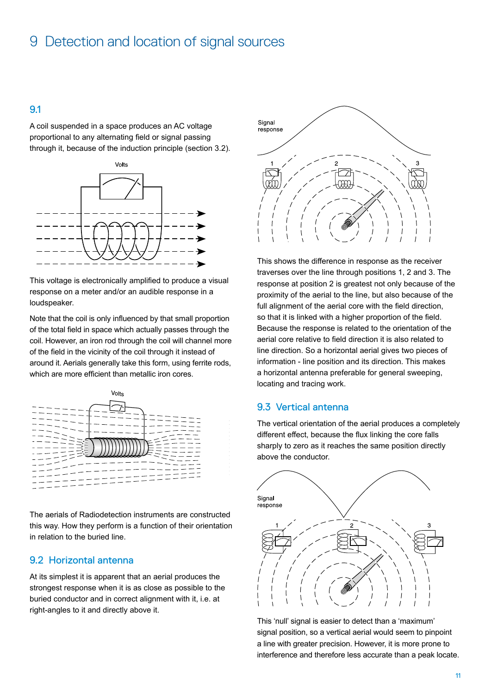## 9 Detection and location of signal sources

#### 9.1

A coil suspended in a space produces an AC voltage proportional to any alternating field or signal passing through it, because of the induction principle (section 3.2).



This voltage is electronically amplified to produce a visual response on a meter and/or an audible response in a loudspeaker.

Note that the coil is only influenced by that small proportion of the total field in space which actually passes through the coil. However, an iron rod through the coil will channel more of the field in the vicinity of the coil through it instead of around it. Aerials generally take this form, using ferrite rods, which are more efficient than metallic iron cores.



The aerials of Radiodetection instruments are constructed this way. How they perform is a function of their orientation in relation to the buried line.

#### 9.2 Horizontal antenna

At its simplest it is apparent that an aerial produces the strongest response when it is as close as possible to the buried conductor and in correct alignment with it, i.e. at right-angles to it and directly above it.



This shows the difference in response as the receiver traverses over the line through positions 1, 2 and 3. The response at position 2 is greatest not only because of the proximity of the aerial to the line, but also because of the full alignment of the aerial core with the field direction. so that it is linked with a higher proportion of the field. Because the response is related to the orientation of the aerial core relative to field direction it is also related to line direction. So a horizontal aerial gives two pieces of information - line position and its direction. This makes a horizontal antenna preferable for general sweeping, locating and tracing work.

#### 9.3 Vertical antenna

The vertical orientation of the aerial produces a completely different effect, because the flux linking the core falls sharply to zero as it reaches the same position directly above the conductor.



This 'null' signal is easier to detect than a 'maximum' signal position, so a vertical aerial would seem to pinpoint a line with greater precision. However, it is more prone to interference and therefore less accurate than a peak locate.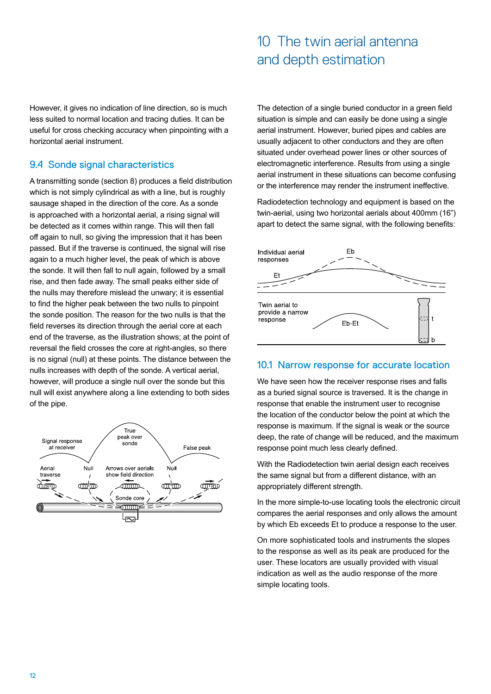## 10 The twin aerial antenna and depth estimation

However, it gives no indication of line direction, so is much less suited to normal location and tracing duties. It can be useful for cross checking accuracy when pinpointing with a horizontal aerial instrument.

#### 9.4 Sonde signal characteristics

A transmitting sonde (section 8) produces a field distribution which is not simply cylindrical as with a line, but is roughly sausage shaped in the direction of the core. As a sonde is approached with a horizontal aerial, a rising signal will be detected as it comes within range. This will then fall off again to null, so giving the impression that it has been passed. But if the traverse is continued, the signal will rise again to a much higher level, the peak of which is above the sonde. It will then fall to null again, followed by a small rise, and then fade away. The small peaks either side of the nulls may therefore mislead the unwary; it is essential to find the higher peak between the two nulls to pinpoint the sonde position. The reason for the two nulls is that the field reverses its direction through the aerial core at each end of the traverse, as the illustration shows; at the point of reversal the field crosses the core at right-angles, so there is no signal (null) at these points. The distance between the nulls increases with depth of the sonde. A vertical aerial, however, will produce a single null over the sonde but this null will exist anywhere along a line extending to both sides of the pipe.



The detection of a single buried conductor in a green field situation is simple and can easily be done using a single aerial instrument. However, buried pipes and cables are usually adjacent to other conductors and they are often situated under overhead power lines or other sources of electromagnetic interference. Results from using a single aerial instrument in these situations can become confusing or the interference may render the instrument ineffective.

Radiodetection technology and equipment is based on the twin-aerial, using two horizontal aerials about 400mm (16") apart to detect the same signal, with the following benefits:



#### 10.1 Narrow response for accurate location

We have seen how the receiver response rises and falls as a buried signal source is traversed. It is the change in response that enable the instrument user to recognise the location of the conductor below the point at which the response is maximum. If the signal is weak or the source deep, the rate of change will be reduced, and the maximum response point much less clearly defined.

With the Radiodetection twin aerial design each receives the same signal but from a different distance, with an appropriately different strength.

In the more simple-to-use locating tools the electronic circuit compares the aerial responses and only allows the amount by which Eb exceeds Et to produce a response to the user.

On more sophisticated tools and instruments the slopes to the response as well as its peak are produced for the user. These locators are usually provided with visual indication as well as the audio response of the more simple locating tools.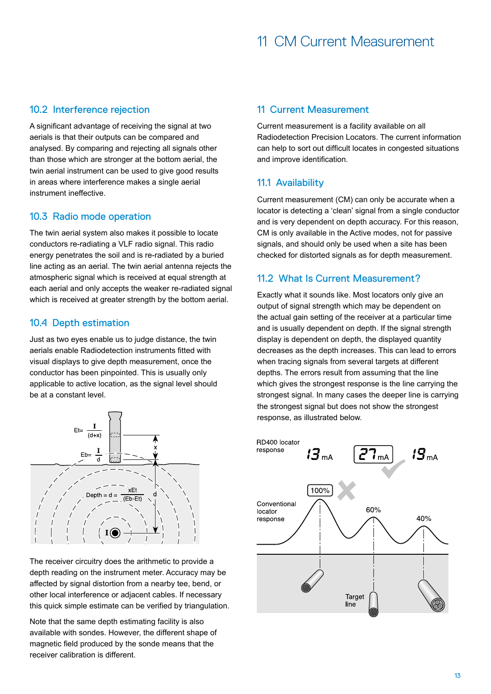#### 10.2 Interference rejection

A significant advantage of receiving the signal at two aerials is that their outputs can be compared and analysed. By comparing and rejecting all signals other than those which are stronger at the bottom aerial, the twin aerial instrument can be used to give good results in areas where interference makes a single aerial instrument ineffective.

#### 10.3 Radio mode operation

The twin aerial system also makes it possible to locate conductors re-radiating a VLF radio signal. This radio energy penetrates the soil and is re-radiated by a buried line acting as an aerial. The twin aerial antenna rejects the atmospheric signal which is received at equal strength at each aerial and only accepts the weaker re-radiated signal which is received at greater strength by the bottom aerial.

#### 10.4 Depth estimation

Just as two eyes enable us to judge distance, the twin aerials enable Radiodetection instruments fitted with visual displays to give depth measurement, once the conductor has been pinpointed. This is usually only applicable to active location, as the signal level should be at a constant level.



The receiver circuitry does the arithmetic to provide a depth reading on the instrument meter. Accuracy may be affected by signal distortion from a nearby tee, bend, or other local interference or adjacent cables. If necessary this quick simple estimate can be verified by triangulation.

Note that the same depth estimating facility is also available with sondes. However, the different shape of magnetic field produced by the sonde means that the receiver calibration is different.

#### 11 Current Measurement

Current measurement is a facility available on all Radiodetection Precision Locators. The current information can help to sort out difficult locates in congested situations and improve identification.

#### 11.1 Availability

Current measurement (CM) can only be accurate when a locator is detecting a 'clean' signal from a single conductor and is very dependent on depth accuracy. For this reason, CM is only available in the Active modes, not for passive signals, and should only be used when a site has been checked for distorted signals as for depth measurement.

#### 11.2 What Is Current Measurement?

Exactly what it sounds like. Most locators only give an output of signal strength which may be dependent on the actual gain setting of the receiver at a particular time and is usually dependent on depth. If the signal strength display is dependent on depth, the displayed quantity decreases as the depth increases. This can lead to errors when tracing signals from several targets at different depths. The errors result from assuming that the line which gives the strongest response is the line carrying the strongest signal. In many cases the deeper line is carrying the strongest signal but does not show the strongest response, as illustrated below.

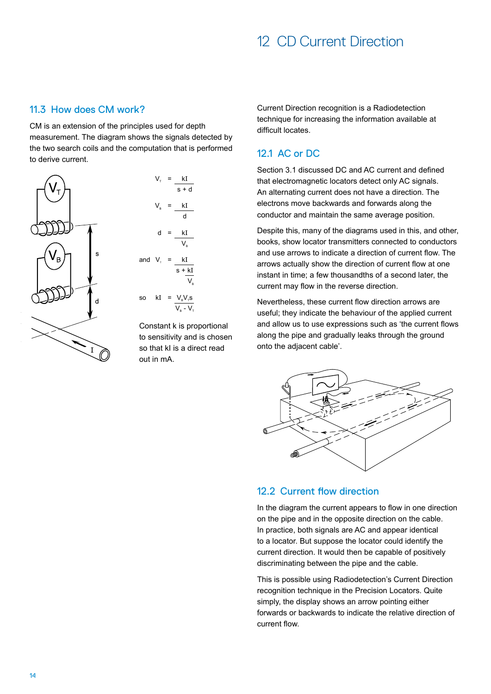## 12 CD Current Direction

#### 11.3 How does CM work?

CM is an extension of the principles used for depth measurement. The diagram shows the signals detected by the two search coils and the computation that is performed to derive current.





Constant k is proportional to sensitivity and is chosen so that kI is a direct read out in mA.

Current Direction recognition is a Radiodetection technique for increasing the information available at difficult locates.

#### 12.1 AC or DC

Section 3.1 discussed DC and AC current and defined that electromagnetic locators detect only AC signals. An alternating current does not have a direction. The electrons move backwards and forwards along the conductor and maintain the same average position.

Despite this, many of the diagrams used in this, and other, books, show locator transmitters connected to conductors and use arrows to indicate a direction of current flow. The arrows actually show the direction of current flow at one instant in time; a few thousandths of a second later, the current may flow in the reverse direction.

Nevertheless, these current flow direction arrows are useful; they indicate the behaviour of the applied current and allow us to use expressions such as 'the current flows along the pipe and gradually leaks through the ground onto the adjacent cable'.



#### 12.2 Current flow direction

In the diagram the current appears to flow in one direction on the pipe and in the opposite direction on the cable. In practice, both signals are AC and appear identical to a locator. But suppose the locator could identify the current direction. It would then be capable of positively discriminating between the pipe and the cable.

This is possible using Radiodetection's Current Direction recognition technique in the Precision Locators. Quite simply, the display shows an arrow pointing either forwards or backwards to indicate the relative direction of current flow.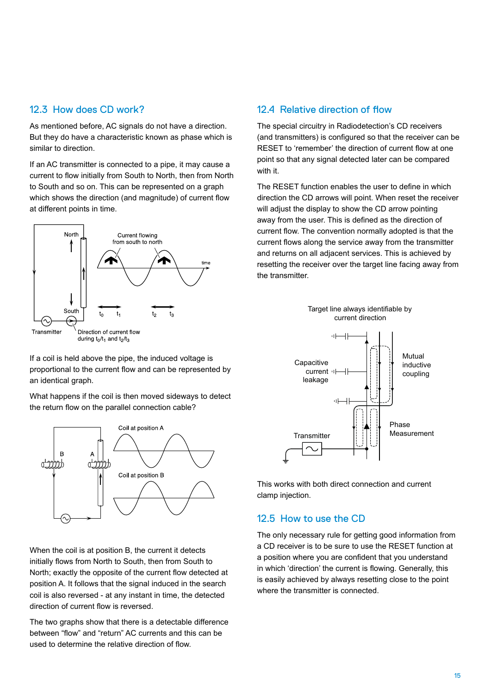#### 12.3 How does CD work?

As mentioned before, AC signals do not have a direction. But they do have a characteristic known as phase which is similar to direction.

If an AC transmitter is connected to a pipe, it may cause a current to flow initially from South to North, then from North to South and so on. This can be represented on a graph which shows the direction (and magnitude) of current flow at different points in time.



If a coil is held above the pipe, the induced voltage is proportional to the current flow and can be represented by an identical graph.

What happens if the coil is then moved sideways to detect the return flow on the parallel connection cable?



When the coil is at position B, the current it detects initially flows from North to South, then from South to North; exactly the opposite of the current flow detected at position A. It follows that the signal induced in the search coil is also reversed - at any instant in time, the detected direction of current flow is reversed.

The two graphs show that there is a detectable difference between "flow" and "return" AC currents and this can be used to determine the relative direction of flow.

#### 12.4 Relative direction of flow

The special circuitry in Radiodetection's CD receivers (and transmitters) is configured so that the receiver can be RESET to 'remember' the direction of current flow at one point so that any signal detected later can be compared with it.

The RESET function enables the user to define in which direction the CD arrows will point. When reset the receiver will adjust the display to show the CD arrow pointing away from the user. This is defined as the direction of current flow. The convention normally adopted is that the current flows along the service away from the transmitter and returns on all adjacent services. This is achieved by resetting the receiver over the target line facing away from the transmitter.



This works with both direct connection and current clamp injection.

#### 12.5 How to use the CD

The only necessary rule for getting good information from a CD receiver is to be sure to use the RESET function at a position where you are confident that you understand in which 'direction' the current is flowing. Generally, this is easily achieved by always resetting close to the point where the transmitter is connected.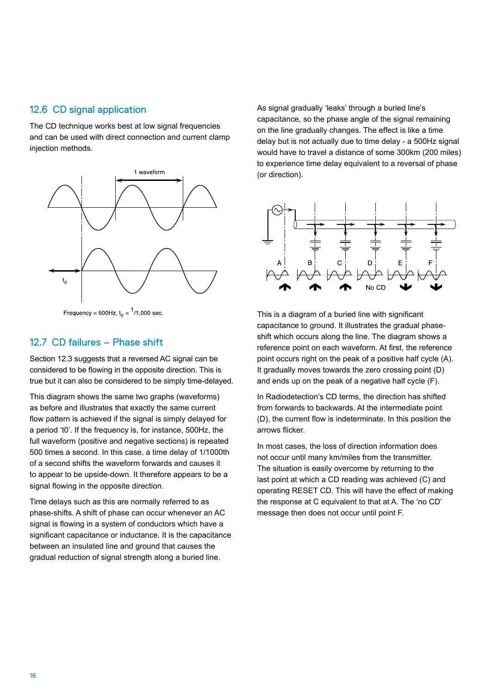#### 12.6 CD signal application

The CD technique works best at low signal frequencies and can be used with direct connection and current clamp injection methods.



Frequency = 500Hz,  $t_0 = \frac{1}{1000}$  sec.

#### 12.7 CD failures – Phase shift

Section 12.3 suggests that a reversed AC signal can be considered to be flowing in the opposite direction. This is true but it can also be considered to be simply time-delayed.

This diagram shows the same two graphs (waveforms) as before and illustrates that exactly the same current flow pattern is achieved if the signal is simply delayed for a period 't0'. If the frequency is, for instance, 500Hz, the full waveform (positive and negative sections) is repeated 500 times a second. In this case, a time delay of 1/1000th of a second shifts the waveform forwards and causes it to appear to be upside-down. It therefore appears to be a signal flowing in the opposite direction.

Time delays such as this are normally referred to as phase-shifts. A shift of phase can occur whenever an AC signal is flowing in a system of conductors which have a significant capacitance or inductance. It is the capacitance between an insulated line and ground that causes the gradual reduction of signal strength along a buried line.

As signal gradually 'leaks' through a buried line's capacitance, so the phase angle of the signal remaining on the line gradually changes. The effect is like a time delay but is not actually due to time delay - a 500Hz signal would have to travel a distance of some 300km (200 miles) to experience time delay equivalent to a reversal of phase (or direction).



This is a diagram of a buried line with significant capacitance to ground. It illustrates the gradual phaseshift which occurs along the line. The diagram shows a reference point on each waveform. At first, the reference point occurs right on the peak of a positive half cycle (A). It gradually moves towards the zero crossing point (D) and ends up on the peak of a negative half cycle (F).

In Radiodetection's CD terms, the direction has shifted from forwards to backwards. At the intermediate point (D), the current flow is indeterminate. In this position the arrows flicker.

In most cases, the loss of direction information does not occur until many km/miles from the transmitter. The situation is easily overcome by returning to the last point at which a CD reading was achieved (C) and operating RESET CD. This will have the effect of making the response at C equivalent to that at A. The 'no CD' message then does not occur until point F.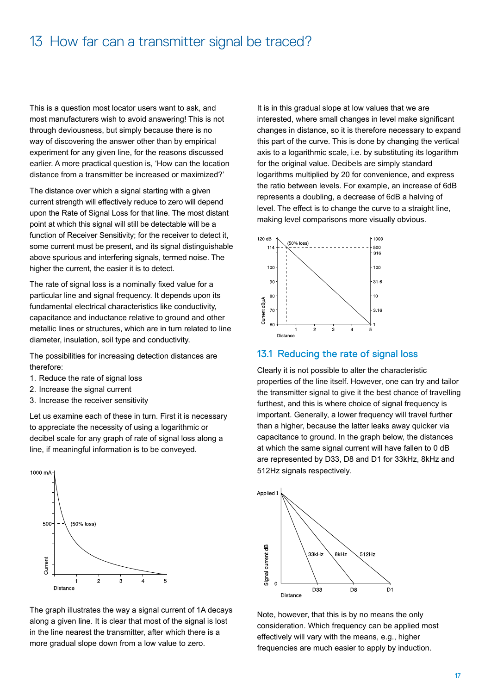## 13 How far can a transmitter signal be traced?

This is a question most locator users want to ask, and most manufacturers wish to avoid answering! This is not through deviousness, but simply because there is no way of discovering the answer other than by empirical experiment for any given line, for the reasons discussed earlier. A more practical question is, 'How can the location distance from a transmitter be increased or maximized?'

The distance over which a signal starting with a given current strength will effectively reduce to zero will depend upon the Rate of Signal Loss for that line. The most distant point at which this signal will still be detectable will be a function of Receiver Sensitivity; for the receiver to detect it, some current must be present, and its signal distinguishable above spurious and interfering signals, termed noise. The higher the current, the easier it is to detect.

The rate of signal loss is a nominally fixed value for a particular line and signal frequency. It depends upon its fundamental electrical characteristics like conductivity, capacitance and inductance relative to ground and other metallic lines or structures, which are in turn related to line diameter, insulation, soil type and conductivity.

The possibilities for increasing detection distances are therefore:

- 1. Reduce the rate of signal loss
- 2. Increase the signal current
- 3. Increase the receiver sensitivity

Let us examine each of these in turn. First it is necessary to appreciate the necessity of using a logarithmic or decibel scale for any graph of rate of signal loss along a line, if meaningful information is to be conveyed.



The graph illustrates the way a signal current of 1A decays along a given line. It is clear that most of the signal is lost in the line nearest the transmitter, after which there is a more gradual slope down from a low value to zero.

It is in this gradual slope at low values that we are interested, where small changes in level make significant changes in distance, so it is therefore necessary to expand this part of the curve. This is done by changing the vertical axis to a logarithmic scale, i.e. by substituting its logarithm for the original value. Decibels are simply standard logarithms multiplied by 20 for convenience, and express the ratio between levels. For example, an increase of 6dB represents a doubling, a decrease of 6dB a halving of level. The effect is to change the curve to a straight line, making level comparisons more visually obvious.



#### 13.1 Reducing the rate of signal loss

Clearly it is not possible to alter the characteristic properties of the line itself. However, one can try and tailor the transmitter signal to give it the best chance of travelling furthest, and this is where choice of signal frequency is important. Generally, a lower frequency will travel further than a higher, because the latter leaks away quicker via capacitance to ground. In the graph below, the distances at which the same signal current will have fallen to 0 dB are represented by D33, D8 and D1 for 33kHz, 8kHz and 512Hz signals respectively.



Note, however, that this is by no means the only consideration. Which frequency can be applied most effectively will vary with the means, e.g., higher frequencies are much easier to apply by induction.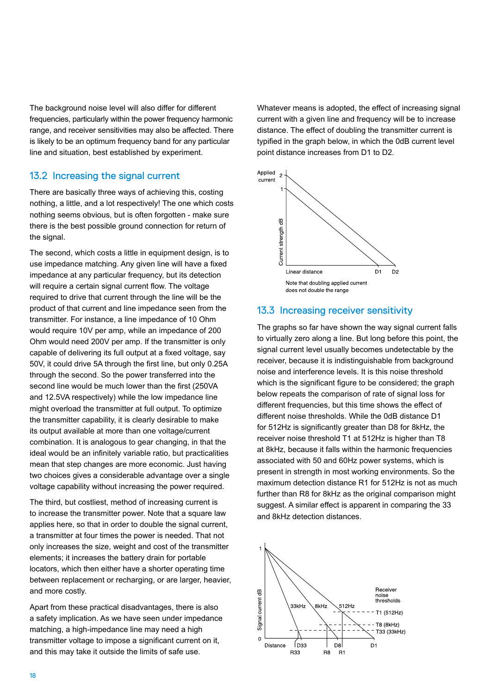The background noise level will also differ for different frequencies, particularly within the power frequency harmonic range, and receiver sensitivities may also be affected. There is likely to be an optimum frequency band for any particular line and situation, best established by experiment.

#### 13.2 Increasing the signal current

There are basically three ways of achieving this, costing nothing, a little, and a lot respectively! The one which costs nothing seems obvious, but is often forgotten - make sure there is the best possible ground connection for return of the signal.

The second, which costs a little in equipment design, is to use impedance matching. Any given line will have a fixed impedance at any particular frequency, but its detection will require a certain signal current flow. The voltage required to drive that current through the line will be the product of that current and line impedance seen from the transmitter. For instance, a line impedance of 10 Ohm would require 10V per amp, while an impedance of 200 Ohm would need 200V per amp. If the transmitter is only capable of delivering its full output at a fixed voltage, say 50V, it could drive 5A through the first line, but only 0.25A through the second. So the power transferred into the second line would be much lower than the first (250VA and 12.5VA respectively) while the low impedance line might overload the transmitter at full output. To optimize the transmitter capability, it is clearly desirable to make its output available at more than one voltage/current combination. It is analogous to gear changing, in that the ideal would be an infinitely variable ratio, but practicalities mean that step changes are more economic. Just having two choices gives a considerable advantage over a single voltage capability without increasing the power required.

The third, but costliest, method of increasing current is to increase the transmitter power. Note that a square law applies here, so that in order to double the signal current, a transmitter at four times the power is needed. That not only increases the size, weight and cost of the transmitter elements; it increases the battery drain for portable locators, which then either have a shorter operating time between replacement or recharging, or are larger, heavier, and more costly.

Apart from these practical disadvantages, there is also a safety implication. As we have seen under impedance matching, a high-impedance line may need a high transmitter voltage to impose a significant current on it, and this may take it outside the limits of safe use.

Whatever means is adopted, the effect of increasing signal current with a given line and frequency will be to increase distance. The effect of doubling the transmitter current is typified in the graph below, in which the 0dB current level point distance increases from D1 to D2.



#### 13.3 Increasing receiver sensitivity

The graphs so far have shown the way signal current falls to virtually zero along a line. But long before this point, the signal current level usually becomes undetectable by the receiver, because it is indistinguishable from background noise and interference levels. It is this noise threshold which is the significant figure to be considered; the graph below repeats the comparison of rate of signal loss for different frequencies, but this time shows the effect of different noise thresholds. While the 0dB distance D1 for 512Hz is significantly greater than D8 for 8kHz, the receiver noise threshold T1 at 512Hz is higher than T8 at 8kHz, because it falls within the harmonic frequencies associated with 50 and 60Hz power systems, which is present in strength in most working environments. So the maximum detection distance R1 for 512Hz is not as much further than R8 for 8kHz as the original comparison might suggest. A similar effect is apparent in comparing the 33 and 8kHz detection distances.

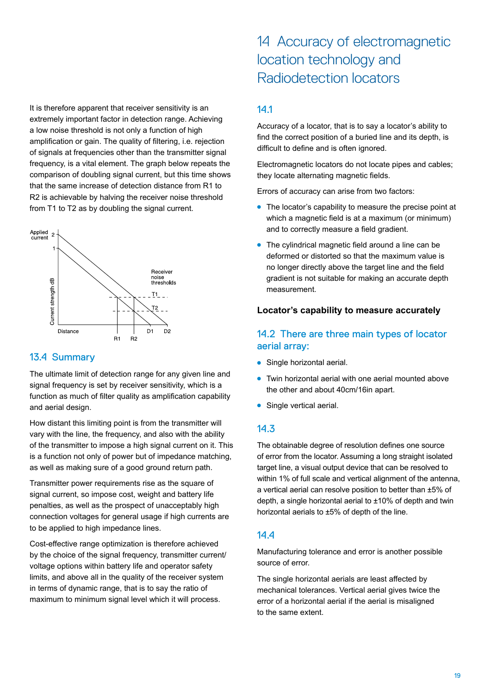It is therefore apparent that receiver sensitivity is an extremely important factor in detection range. Achieving a low noise threshold is not only a function of high amplification or gain. The quality of filtering, i.e. rejection of signals at frequencies other than the transmitter signal frequency, is a vital element. The graph below repeats the comparison of doubling signal current, but this time shows that the same increase of detection distance from R1 to R2 is achievable by halving the receiver noise threshold from T1 to T2 as by doubling the signal current.



#### 13.4 Summary

The ultimate limit of detection range for any given line and signal frequency is set by receiver sensitivity, which is a function as much of filter quality as amplification capability and aerial design.

How distant this limiting point is from the transmitter will vary with the line, the frequency, and also with the ability of the transmitter to impose a high signal current on it. This is a function not only of power but of impedance matching, as well as making sure of a good ground return path.

Transmitter power requirements rise as the square of signal current, so impose cost, weight and battery life penalties, as well as the prospect of unacceptably high connection voltages for general usage if high currents are to be applied to high impedance lines.

Cost-effective range optimization is therefore achieved by the choice of the signal frequency, transmitter current/ voltage options within battery life and operator safety limits, and above all in the quality of the receiver system in terms of dynamic range, that is to say the ratio of maximum to minimum signal level which it will process.

## 14 Accuracy of electromagnetic location technology and Radiodetection locators

#### 14.1

Accuracy of a locator, that is to say a locator's ability to find the correct position of a buried line and its depth, is difficult to define and is often ignored.

Electromagnetic locators do not locate pipes and cables; they locate alternating magnetic fields.

Errors of accuracy can arise from two factors:

- The locator's capability to measure the precise point at which a magnetic field is at a maximum (or minimum) and to correctly measure a field gradient.
- $\bullet$  The cylindrical magnetic field around a line can be deformed or distorted so that the maximum value is no longer directly above the target line and the field gradient is not suitable for making an accurate depth measurement.

#### **Locator's capability to measure accurately**

#### 14.2 There are three main types of locator aerial array:

- $\bullet$  Single horizontal aerial.
- Twin horizontal aerial with one aerial mounted above the other and about 40cm/16in apart.
- **Single vertical aerial.**

#### 14.3

The obtainable degree of resolution defines one source of error from the locator. Assuming a long straight isolated target line, a visual output device that can be resolved to within 1% of full scale and vertical alignment of the antenna, a vertical aerial can resolve position to better than ±5% of depth, a single horizontal aerial to ±10% of depth and twin horizontal aerials to ±5% of depth of the line.

#### 14.4

Manufacturing tolerance and error is another possible source of error.

The single horizontal aerials are least affected by mechanical tolerances. Vertical aerial gives twice the error of a horizontal aerial if the aerial is misaligned to the same extent.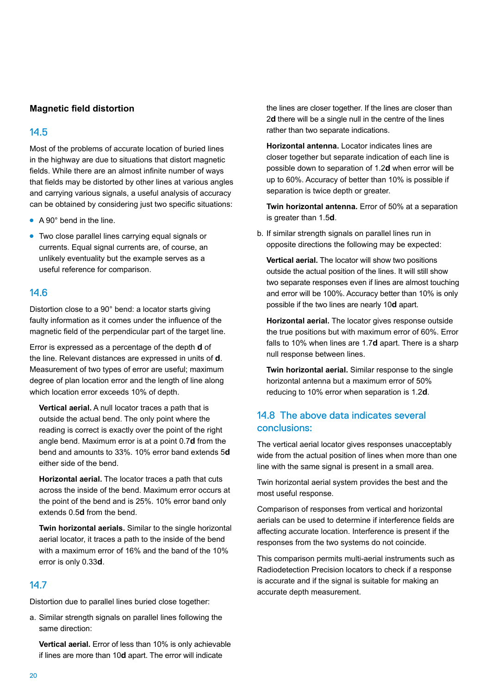#### **Magnetic field distortion**

#### 14.5

Most of the problems of accurate location of buried lines in the highway are due to situations that distort magnetic fields. While there are an almost infinite number of ways that fields may be distorted by other lines at various angles and carrying various signals, a useful analysis of accuracy can be obtained by considering just two specific situations:

- $\bullet$  A 90 $^{\circ}$  bend in the line.
- Two close parallel lines carrying equal signals or currents. Equal signal currents are, of course, an unlikely eventuality but the example serves as a useful reference for comparison.

#### 14.6

Distortion close to a 90° bend: a locator starts giving faulty information as it comes under the influence of the magnetic field of the perpendicular part of the target line.

Error is expressed as a percentage of the depth **d** of the line. Relevant distances are expressed in units of **d**. Measurement of two types of error are useful; maximum degree of plan location error and the length of line along which location error exceeds 10% of depth.

**Vertical aerial.** A null locator traces a path that is outside the actual bend. The only point where the reading is correct is exactly over the point of the right angle bend. Maximum error is at a point 0.7**d** from the bend and amounts to 33%. 10% error band extends 5**d** either side of the bend.

**Horizontal aerial.** The locator traces a path that cuts across the inside of the bend. Maximum error occurs at the point of the bend and is 25%. 10% error band only extends 0.5**d** from the bend.

**Twin horizontal aerials.** Similar to the single horizontal aerial locator, it traces a path to the inside of the bend with a maximum error of 16% and the band of the 10% error is only 0.33**d**.

#### 14.7

Distortion due to parallel lines buried close together:

a. Similar strength signals on parallel lines following the same direction:

**Vertical aerial.** Error of less than 10% is only achievable if lines are more than 10**d** apart. The error will indicate

the lines are closer together. If the lines are closer than 2**d** there will be a single null in the centre of the lines rather than two separate indications.

**Horizontal antenna.** Locator indicates lines are closer together but separate indication of each line is possible down to separation of 1.2**d** when error will be up to 60%. Accuracy of better than 10% is possible if separation is twice depth or greater.

**Twin horizontal antenna.** Error of 50% at a separation is greater than 1.5**d**.

b. If similar strength signals on parallel lines run in opposite directions the following may be expected:

**Vertical aerial.** The locator will show two positions outside the actual position of the lines. It will still show two separate responses even if lines are almost touching and error will be 100%. Accuracy better than 10% is only possible if the two lines are nearly 10**d** apart.

**Horizontal aerial.** The locator gives response outside the true positions but with maximum error of 60%. Error falls to 10% when lines are 1.7**d** apart. There is a sharp null response between lines.

**Twin horizontal aerial.** Similar response to the single horizontal antenna but a maximum error of 50% reducing to 10% error when separation is 1.2**d**.

#### 14.8 The above data indicates several conclusions:

The vertical aerial locator gives responses unacceptably wide from the actual position of lines when more than one line with the same signal is present in a small area.

Twin horizontal aerial system provides the best and the most useful response.

Comparison of responses from vertical and horizontal aerials can be used to determine if interference fields are affecting accurate location. Interference is present if the responses from the two systems do not coincide.

This comparison permits multi-aerial instruments such as Radiodetection Precision locators to check if a response is accurate and if the signal is suitable for making an accurate depth measurement.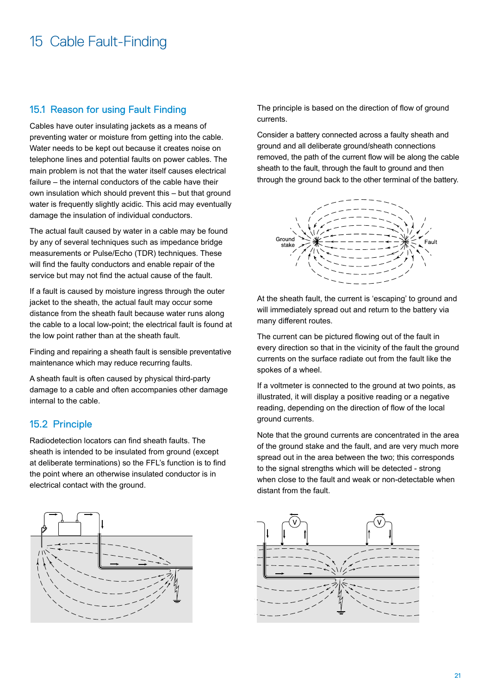#### 15.1 Reason for using Fault Finding

Cables have outer insulating jackets as a means of preventing water or moisture from getting into the cable. Water needs to be kept out because it creates noise on telephone lines and potential faults on power cables. The main problem is not that the water itself causes electrical failure – the internal conductors of the cable have their own insulation which should prevent this – but that ground water is frequently slightly acidic. This acid may eventually damage the insulation of individual conductors.

The actual fault caused by water in a cable may be found by any of several techniques such as impedance bridge measurements or Pulse/Echo (TDR) techniques. These will find the faulty conductors and enable repair of the service but may not find the actual cause of the fault.

If a fault is caused by moisture ingress through the outer jacket to the sheath, the actual fault may occur some distance from the sheath fault because water runs along the cable to a local low-point; the electrical fault is found at the low point rather than at the sheath fault.

Finding and repairing a sheath fault is sensible preventative maintenance which may reduce recurring faults.

A sheath fault is often caused by physical third-party damage to a cable and often accompanies other damage internal to the cable.

#### 15.2 Principle

Radiodetection locators can find sheath faults. The sheath is intended to be insulated from ground (except at deliberate terminations) so the FFL's function is to find the point where an otherwise insulated conductor is in electrical contact with the ground.



Consider a battery connected across a faulty sheath and ground and all deliberate ground/sheath connections removed, the path of the current flow will be along the cable sheath to the fault, through the fault to ground and then through the ground back to the other terminal of the battery.



At the sheath fault, the current is 'escaping' to ground and will immediately spread out and return to the battery via many different routes.

The current can be pictured flowing out of the fault in every direction so that in the vicinity of the fault the ground currents on the surface radiate out from the fault like the spokes of a wheel.

If a voltmeter is connected to the ground at two points, as illustrated, it will display a positive reading or a negative reading, depending on the direction of flow of the local ground currents.

Note that the ground currents are concentrated in the area of the ground stake and the fault, and are very much more spread out in the area between the two; this corresponds to the signal strengths which will be detected - strong when close to the fault and weak or non-detectable when distant from the fault.



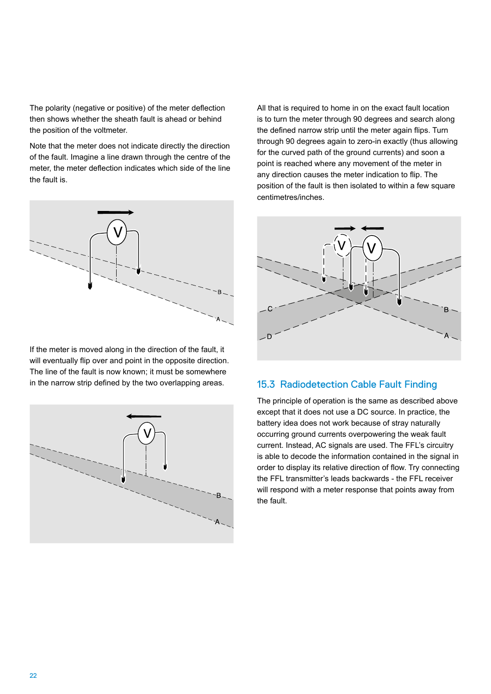The polarity (negative or positive) of the meter deflection then shows whether the sheath fault is ahead or behind the position of the voltmeter.

Note that the meter does not indicate directly the direction of the fault. Imagine a line drawn through the centre of the meter, the meter deflection indicates which side of the line the fault is.



If the meter is moved along in the direction of the fault, it will eventually flip over and point in the opposite direction. The line of the fault is now known; it must be somewhere in the narrow strip defined by the two overlapping areas.



All that is required to home in on the exact fault location is to turn the meter through 90 degrees and search along the defined narrow strip until the meter again flips. Turn through 90 degrees again to zero-in exactly (thus allowing for the curved path of the ground currents) and soon a point is reached where any movement of the meter in any direction causes the meter indication to flip. The position of the fault is then isolated to within a few square centimetres/inches.



#### 15.3 Radiodetection Cable Fault Finding

The principle of operation is the same as described above except that it does not use a DC source. In practice, the battery idea does not work because of stray naturally occurring ground currents overpowering the weak fault current. Instead, AC signals are used. The FFL's circuitry is able to decode the information contained in the signal in order to display its relative direction of flow. Try connecting the FFL transmitter's leads backwards - the FFL receiver will respond with a meter response that points away from the fault.